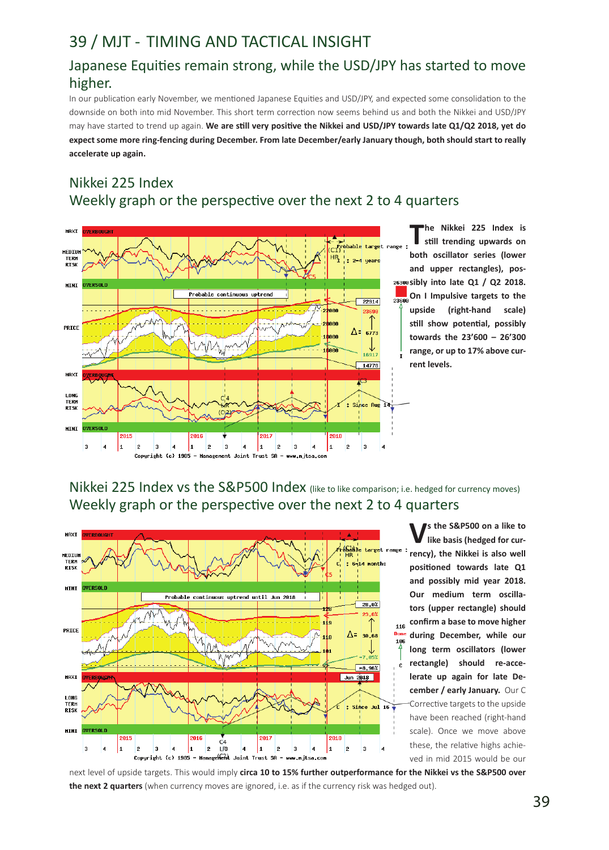# 39 / MJT - TIMING AND TACTICAL INSIGHT

## Japanese Equities remain strong, while the USD/JPY has started to move higher.

In our publication early November, we mentioned Japanese Equities and USD/JPY, and expected some consolidation to the downside on both into mid November. This short term correction now seems behind us and both the Nikkei and USD/JPY may have started to trend up again. **We are still very positive the Nikkei and USD/JPY towards late Q1/Q2 2018, yet do expect some more ring-fencing during December. From late December/early January though, both should start to really accelerate up again.**

# Nikkei 225 Index Weekly graph or the perspective over the next 2 to 4 quarters



**The Nikkei 225 Index is still trending upwards on both oscillator series (lower and upper rectangles), possibly into late Q1 / Q2 2018. On I Impulsive targets to the upside (right-hand scale) still show potential, possibly towards the 23'600 – 26'300 range, or up to 17% above current levels.**

Nikkei 225 Index vs the S&P500 Index (like to like comparison; i.e. hedged for currency moves) Weekly graph or the perspective over the next 2 to 4 quarters



**Vs the S&P500 on a like to like basis (hedged for currency), the Nikkei is also well positioned towards late Q1 and possibly mid year 2018. Our medium term oscillators (upper rectangle) should confirm a base to move higher during December, while our long term oscillators (lower rectangle) should re-accelerate up again for late December / early January.** Our C Corrective targets to the upside have been reached (right-hand scale). Once we move above these, the relative highs achieved in mid 2015 would be our

next level of upside targets. This would imply **circa 10 to 15% further outperformance for the Nikkei vs the S&P500 over the next 2 quarters** (when currency moves are ignored, i.e. as if the currency risk was hedged out).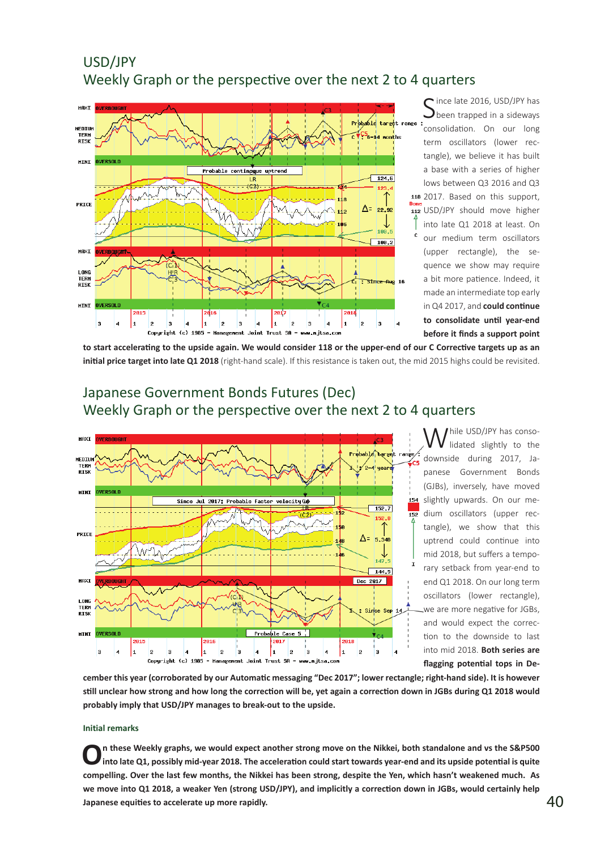## USD/JPY Weekly Graph or the perspective over the next 2 to 4 quarters



ince late 2016, USD/JPY has been trapped in a sideways consolidation. On our long term oscillators (lower rectangle), we believe it has built a base with a series of higher lows between Q3 2016 and Q3 118 2017. Based on this support, USD/JPY should move higher into late Q1 2018 at least. On our medium term oscillators (upper rectangle), the sequence we show may require a bit more patience. Indeed, it made an intermediate top early in Q4 2017, and **could continue to consolidate until year-end before it finds a support point** 

**to start accelerating to the upside again. We would consider 118 or the upper-end of our C Corrective targets up as an initial price target into late Q1 2018** (right-hand scale). If this resistance is taken out, the mid 2015 highs could be revisited.

## Japanese Government Bonds Futures (Dec) Weekly Graph or the perspective over the next 2 to 4 quarters



While USD/JPY has conso-<br>Widated slightly to the downside during 2017, Japanese Government Bonds (GJBs), inversely, have moved slightly upwards. On our medium oscillators (upper rectangle), we show that this uptrend could continue into mid 2018, but suffers a temporary setback from year-end to end Q1 2018. On our long term oscillators (lower rectangle), we are more negative for JGBs, and would expect the correction to the downside to last into mid 2018. **Both series are flagging potential tops in De-**

**cember this year (corroborated by our Automatic messaging "Dec 2017"; lower rectangle; right-hand side). It is however still unclear how strong and how long the correction will be, yet again a correction down in JGBs during Q1 2018 would probably imply that USD/JPY manages to break-out to the upside.**

#### **Initial remarks**

**On these Weekly graphs, we would expect another strong move on the Nikkei, both standalone and vs the S&P500 into late Q1, possibly mid-year 2018. The acceleration could start towards year-end and its upside potential is quite compelling. Over the last few months, the Nikkei has been strong, despite the Yen, which hasn't weakened much. As we move into Q1 2018, a weaker Yen (strong USD/JPY), and implicitly a correction down in JGBs, would certainly help**  Japanese equities to accelerate up more rapidly.  $40 \,$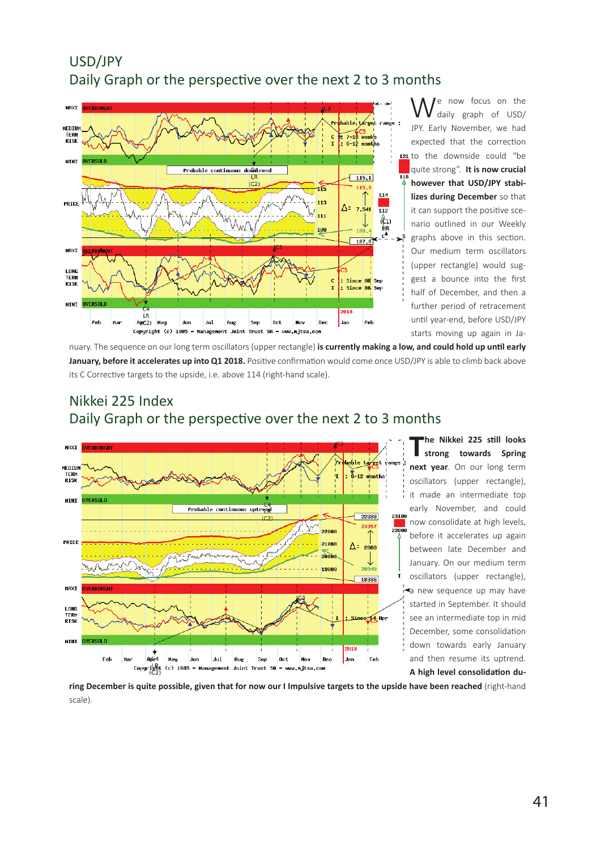## USD/JPY Daily Graph or the perspective over the next 2 to 3 months



We now focus on the<br>
daily graph of USD/ JPY. Early November, we had expected that the correction 121 to the downside could "be quite strong". **It is now crucial however that USD/JPY stabilizes during December** so that it can support the positive scenario outlined in our Weekly graphs above in this section. Our medium term oscillators (upper rectangle) would suggest a bounce into the first half of December, and then a further period of retracement until year-end, before USD/JPY starts moving up again in Ja-

nuary. The sequence on our long term oscillators (upper rectangle) **is currently making a low, and could hold up until early January, before it accelerates up into Q1 2018.** Positive confirmation would come once USD/JPY is able to climb back above its C Corrective targets to the upside, i.e. above 114 (right-hand scale).

# Nikkei 225 Index Daily Graph or the perspective over the next 2 to 3 months



**The Nikkei 225 still looks strong towards Spring next year**. On our long term oscillators (upper rectangle), it made an intermediate top early November, and could now consolidate at high levels, before it accelerates up again between late December and January. On our medium term oscillators (upper rectangle), a new sequence up may have started in September. It should see an intermediate top in mid December, some consolidation down towards early January and then resume its uptrend. **A high level consolidation du-**

**ring December is quite possible, given that for now our I Impulsive targets to the upside have been reached** (right-hand scale).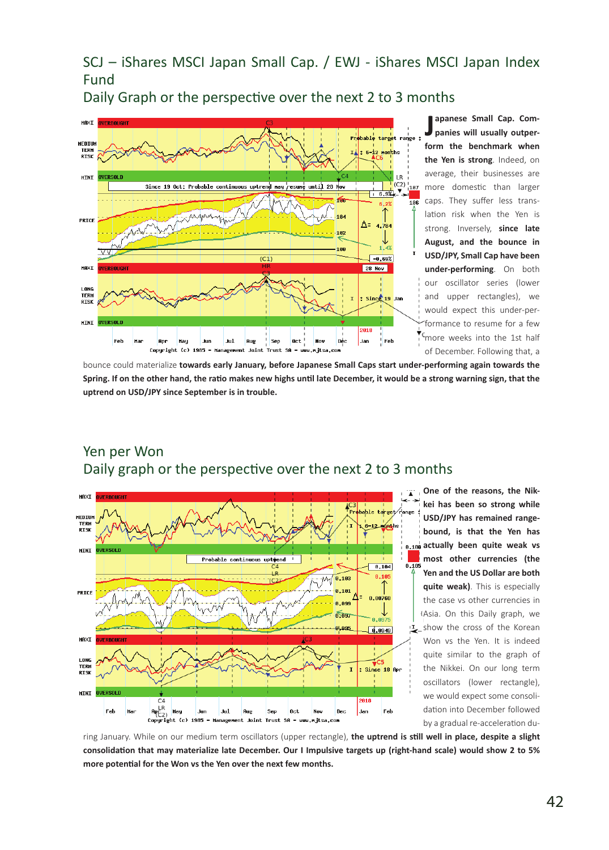SCJ – iShares MSCI Japan Small Cap. / EWJ - iShares MSCI Japan Index Fund

Daily Graph or the perspective over the next 2 to 3 months



**J apanese Small Cap. Companies will usually outperform the benchmark when the Yen is strong**. Indeed, on average, their businesses are more domestic than larger caps. They suffer less translation risk when the Yen is strong. Inversely, **since late August, and the bounce in USD/JPY, Small Cap have been under-performing**. On both our oscillator series (lower and upper rectangles), we would expect this under-performance to resume for a few <sup>C</sup>more weeks into the 1st half of December. Following that, a

bounce could materialize **towards early January, before Japanese Small Caps start under-performing again towards the Spring. If on the other hand, the ratio makes new highs until late December, it would be a strong warning sign, that the uptrend on USD/JPY since September is in trouble.** 



**One of the reasons, the Nikkei has been so strong while USD/JPY has remained rangebound, is that the Yen has actually been quite weak vs most other currencies (the Yen and the US Dollar are both quite weak)**. This is especially the case vs other currencies in (Asia. On this Daily graph, we show the cross of the Korean Won vs the Yen. It is indeed quite similar to the graph of the Nikkei. On our long term oscillators (lower rectangle), we would expect some consolidation into December followed by a gradual re-acceleration du-

ring January. While on our medium term oscillators (upper rectangle), **the uptrend is still well in place, despite a slight consolidation that may materialize late December. Our I Impulsive targets up (right-hand scale) would show 2 to 5% more potential for the Won vs the Yen over the next few months.** 

### Yen per Won Daily graph or the perspective over the next 2 to 3 months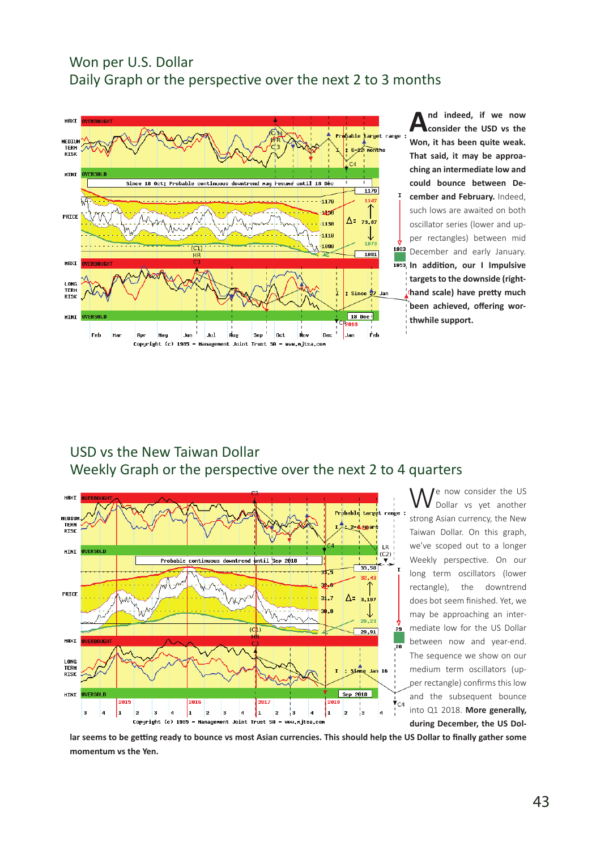#### Won per U.S. Dollar Daily Graph or the perspective over the next 2 to 3 months



#### USD vs the New Taiwan Dollar Weekly Graph or the perspective over the next 2 to 4 quarters



We now consider the US Dollar vs yet another strong Asian currency, the New Taiwan Dollar. On this graph, we've scoped out to a longer Weekly perspective. On our long term oscillators (lower rectangle), the downtrend does bot seem finished. Yet, we may be approaching an intermediate low for the US Dollar between now and year-end. The sequence we show on our medium term oscillators (upper rectangle) confirms this low and the subsequent bounce into Q1 2018. **More generally, during December, the US Dol-**

**lar seems to be getting ready to bounce vs most Asian currencies. This should help the US Dollar to finally gather some momentum vs the Yen.**